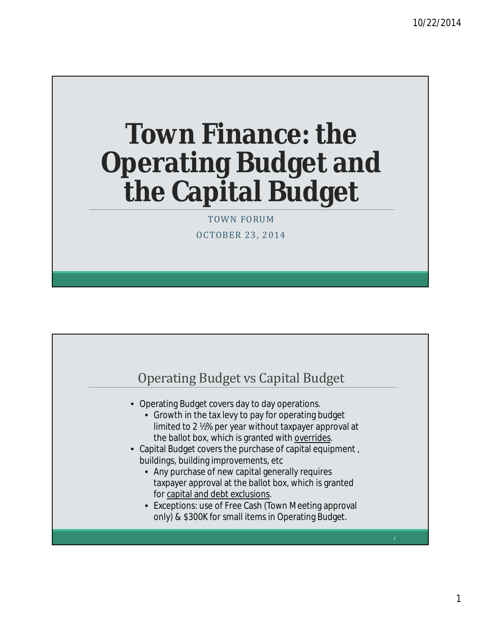## **Town Finance: the Operating Budget and the Capital Budget**

TOWN FORUM OCTOBER 23, 2014

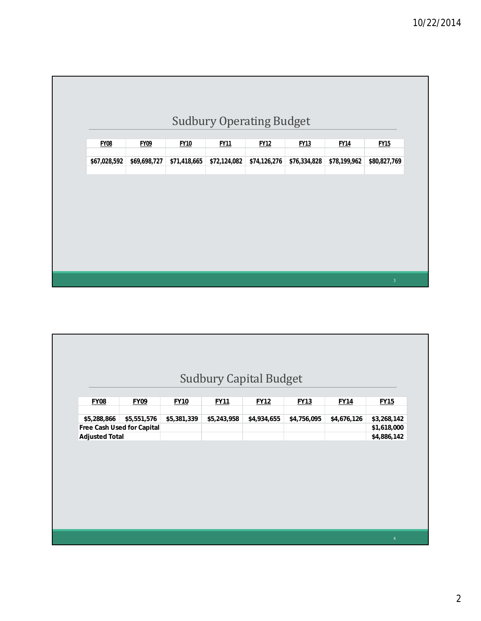|              |              |              |              | <b>Sudbury Operating Budget</b> |              |              |              |
|--------------|--------------|--------------|--------------|---------------------------------|--------------|--------------|--------------|
| <b>FY08</b>  | <b>FY09</b>  | <b>FY10</b>  | <b>FY11</b>  | <b>FY12</b>                     | <b>FY13</b>  | <b>FY14</b>  | <b>FY15</b>  |
| \$67,028,592 | \$69,698,727 | \$71,418,665 | \$72,124,082 | \$74,126,276                    | \$76,334,828 | \$78,199,962 | \$80,827,769 |
|              |              |              |              |                                 |              |              |              |
|              |              |              |              |                                 |              |              | $\mathbf{3}$ |

|                       |                            |             |             | <b>Sudbury Capital Budget</b> |             |             |                            |
|-----------------------|----------------------------|-------------|-------------|-------------------------------|-------------|-------------|----------------------------|
| <b>FY08</b>           | <b>FY09</b>                | <b>FY10</b> | <b>FY11</b> | <b>FY12</b>                   | <b>FY13</b> | <b>FY14</b> | <b>FY15</b>                |
| \$5,288,866           | \$5,551,576                | \$5,381,339 | \$5,243,958 | \$4,934,655                   | \$4,756,095 | \$4,676,126 | \$3,268,142                |
| <b>Adjusted Total</b> | Free Cash Used for Capital |             |             |                               |             |             | \$1,618,000<br>\$4,886,142 |
|                       |                            |             |             |                               |             |             |                            |
|                       |                            |             |             |                               |             |             |                            |
|                       |                            |             |             |                               |             |             |                            |
|                       |                            |             |             |                               |             |             |                            |
|                       |                            |             |             |                               |             |             |                            |
|                       |                            |             |             |                               |             |             |                            |
|                       |                            |             |             |                               |             |             |                            |
|                       |                            |             |             |                               |             |             | $\overline{4}$             |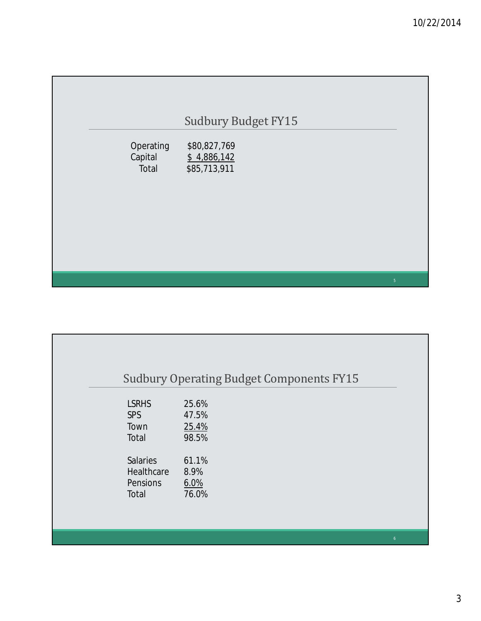

| Operating |
|-----------|
| Capital   |
| Total     |

Operating \$80,827,769 Capital <u>\$4,886,142</u> Total \$85,713,911

|                   | <b>Sudbury Operating Budget Components FY15</b> |
|-------------------|-------------------------------------------------|
| <b>LSRHS</b>      | 25.6%                                           |
| <b>SPS</b>        | 47.5%                                           |
| Town              | 25.4%                                           |
| Total             | 98.5%                                           |
| <b>Salaries</b>   | 61.1%                                           |
| <b>Healthcare</b> | 8.9%                                            |
| <b>Pensions</b>   | 6.0%                                            |
| Total             | 76.0%                                           |

3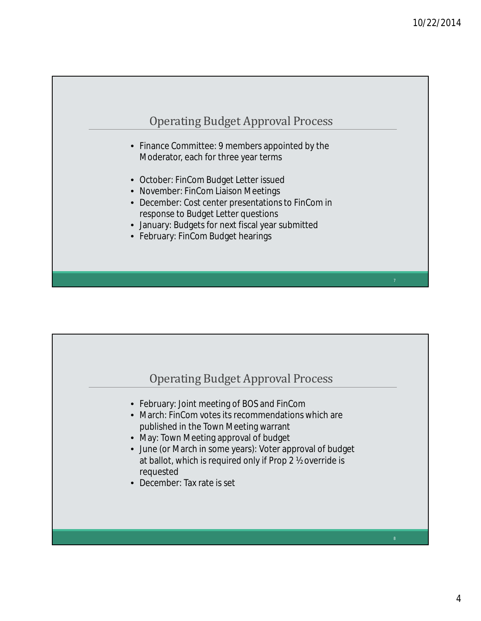

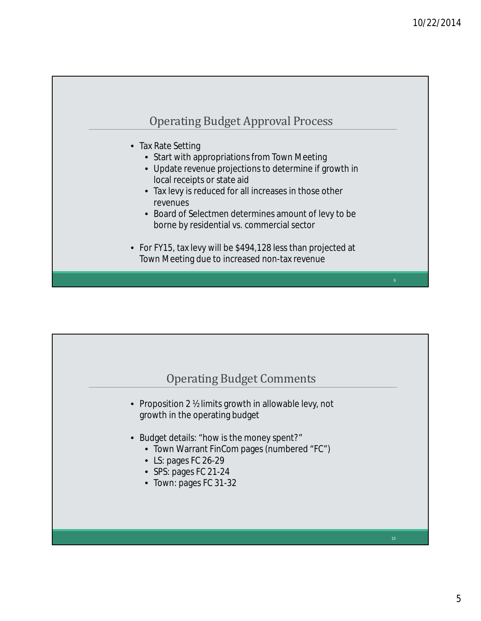

- Tax Rate Setting
	- Start with appropriations from Town Meeting
	- Update revenue projections to determine if growth in local receipts or state aid
	- Tax levy is reduced for all increases in those other revenues
	- Board of Selectmen determines amount of levy to be borne by residential vs. commercial sector
- For FY15, tax levy will be \$494,128 less than projected at Town Meeting due to increased non-tax revenue

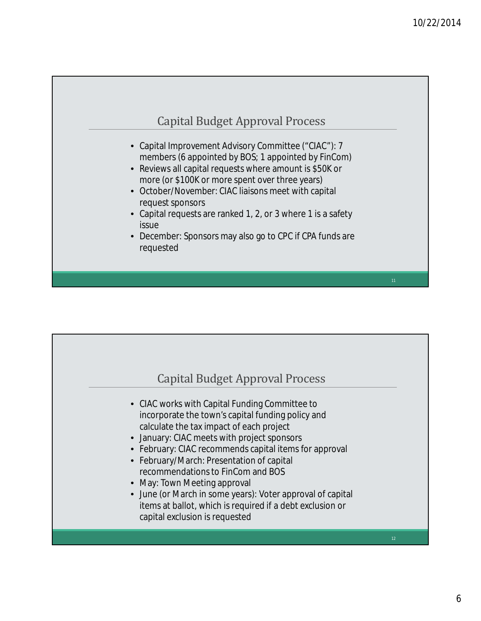

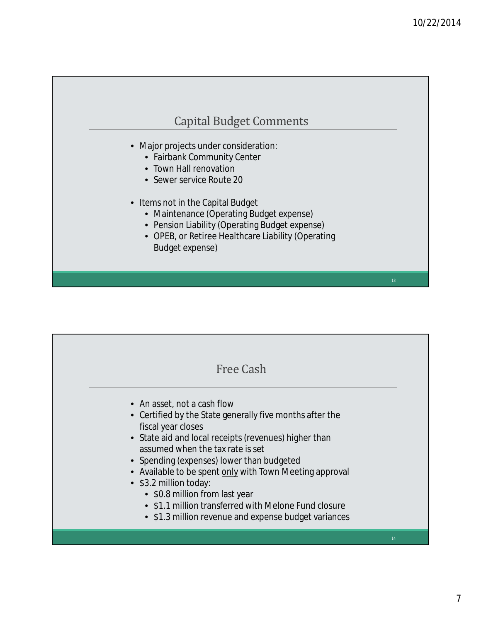## Capital Budget Comments

- Major projects under consideration:
	- Fairbank Community Center
	- Town Hall renovation
	- Sewer service Route 20
- Items not in the Capital Budget
	- Maintenance (Operating Budget expense)
	- Pension Liability (Operating Budget expense)
	- OPEB, or Retiree Healthcare Liability (Operating Budget expense)